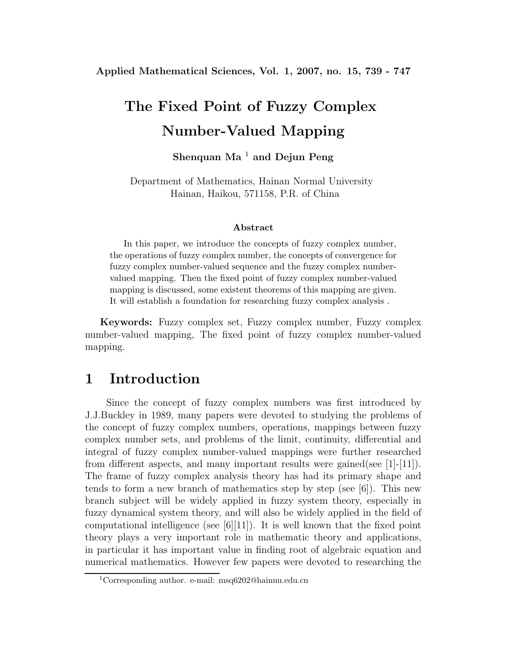# **The Fixed Point of Fuzzy Complex Number-Valued Mapping**

### **Shenquan Ma** <sup>1</sup> **and Dejun Peng**

Department of Mathematics, Hainan Normal University Hainan, Haikou, 571158, P.R. of China

#### **Abstract**

In this paper, we introduce the concepts of fuzzy complex number, the operations of fuzzy complex number, the concepts of convergence for fuzzy complex number-valued sequence and the fuzzy complex numbervalued mapping. Then the fixed point of fuzzy complex number-valued mapping is discussed, some existent theorems of this mapping are given. It will establish a foundation for researching fuzzy complex analysis .

**Keywords:** Fuzzy complex set, Fuzzy complex number, Fuzzy complex number-valued mapping, The fixed point of fuzzy complex number-valued mapping.

### **1 Introduction**

Since the concept of fuzzy complex numbers was first introduced by J.J.Buckley in 1989, many papers were devoted to studying the problems of the concept of fuzzy complex numbers, operations, mappings between fuzzy complex number sets, and problems of the limit, continuity, differential and integral of fuzzy complex number-valued mappings were further researched from different aspects, and many important results were gained(see [1]-[11]). The frame of fuzzy complex analysis theory has had its primary shape and tends to form a new branch of mathematics step by step (see [6]). This new branch subject will be widely applied in fuzzy system theory, especially in fuzzy dynamical system theory, and will also be widely applied in the field of computational intelligence (see  $[6][11]$ ). It is well known that the fixed point theory plays a very important role in mathematic theory and applications, in particular it has important value in finding root of algebraic equation and numerical mathematics. However few papers were devoted to researching the

<sup>1</sup>Corresponding author. e-mail: msq6202@hainnu.edu.cn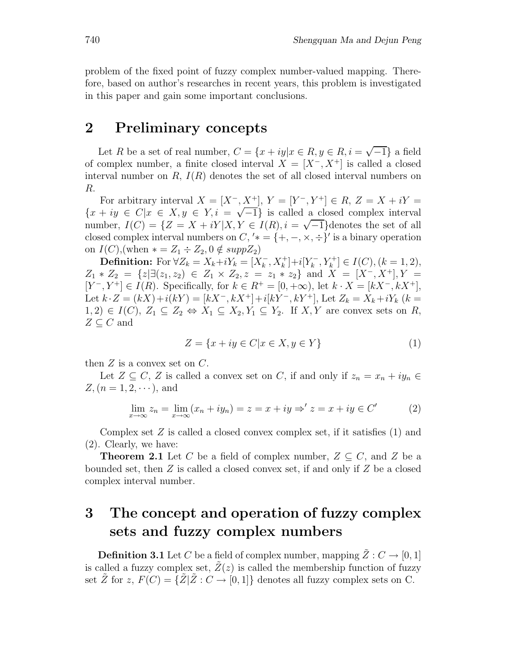problem of the fixed point of fuzzy complex number-valued mapping. Therefore, based on author's researches in recent years, this problem is investigated in this paper and gain some important conclusions.

### **2 Preliminary concepts**

Let R be a set of real number,  $C = \{x + iy | x \in R, y \in R, i = \sqrt{-1}\}\$ a field of complex number, a finite closed interval  $X = [X^-, X^+]$  is called a closed interval number on  $R, I(R)$  denotes the set of all closed interval numbers on R.

For arbitrary interval  $X = [X^-, X^+]$ ,  $Y = [Y^-, Y^+] \in R$ ,  $Z = X + iY =$  ${x + iy \in C | x \in X, y \in Y, i = \sqrt{-1}}$  is called a closed complex interval number,  $I(C) = \{Z = X + iY | X, Y \in I(R), i = \sqrt{-1}\}\$ denotes the set of all closed complex interval numbers on  $C, '* = \{+, -, \times, \div\}'$  is a binary operation on  $I(C)$ , (when  $* = Z_1 \div Z_2$ ,  $0 \notin supp Z_2$ )

**Definition:** For ∀ $Z_k = X_k + iY_k = [X_k^-, X_k^+] + i[Y_k^-, Y_k^+] \in I(C), (k = 1, 2),$  $Z_1 * Z_2 = \{z | \exists (z_1, z_2) \in Z_1 \times Z_2, z = z_1 * z_2\}$  and  $X = [X^-, X^+]$ ,  $Y =$  $[Y^-, Y^+] \in I(R)$ . Specifically, for  $k \in R^+ = [0, +\infty)$ , let  $k \cdot X = [kX^-, kX^+]$ , Let  $k \cdot Z = (kX) + i(kY) = [kX^-, kX^+] + i[kY^-, kY^+]$ , Let  $Z_k = X_k + iY_k$   $(k =$  $1, 2) \in I(C), Z_1 \subseteq Z_2 \Leftrightarrow X_1 \subseteq X_2, Y_1 \subseteq Y_2$ . If X, Y are convex sets on R,  $Z \subseteq C$  and

$$
Z = \{x + iy \in C | x \in X, y \in Y\}
$$
\n<sup>(1)</sup>

then  $Z$  is a convex set on  $C$ .

Let  $Z \subseteq C$ , Z is called a convex set on C, if and only if  $z_n = x_n + iy_n \in$  $Z, (n = 1, 2, \cdots),$  and

$$
\lim_{x \to \infty} z_n = \lim_{x \to \infty} (x_n + iy_n) = z = x + iy \Rightarrow' z = x + iy \in C'
$$
 (2)

Complex set  $Z$  is called a closed convex complex set, if it satisfies  $(1)$  and (2). Clearly, we have:

**Theorem 2.1** Let C be a field of complex number,  $Z \subseteq C$ , and Z be a bounded set, then  $Z$  is called a closed convex set, if and only if  $Z$  be a closed complex interval number.

# **3 The concept and operation of fuzzy complex sets and fuzzy complex numbers**

**Definition 3.1** Let C be a field of complex number, mapping  $\tilde{Z}: C \to [0, 1]$ is called a fuzzy complex set,  $Z(z)$  is called the membership function of fuzzy set  $\tilde{Z}$  for  $z, F(C) = {\{\tilde{Z} | \tilde{Z} : C \to [0,1]\}}$  denotes all fuzzy complex sets on C.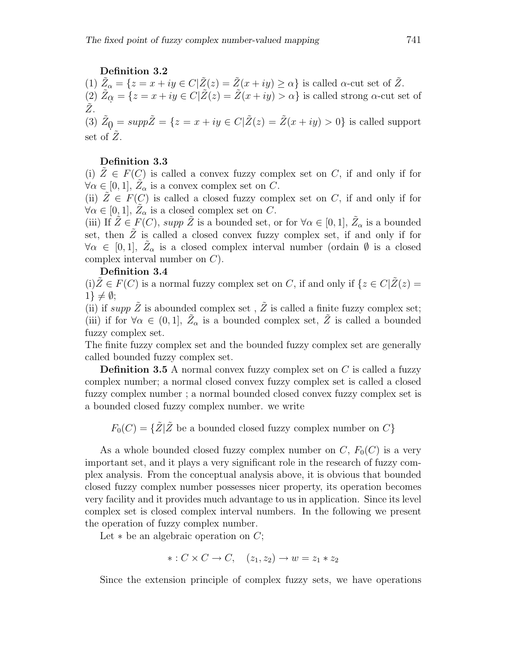#### **Definition 3.2**

(1)  $\tilde{Z}_{\alpha} = \{z = x + iy \in C | \tilde{Z}(z) = \tilde{Z}(x + iy) \ge \alpha\}$  is called  $\alpha$ -cut set of  $\tilde{Z}$ .  $(2) \ \tilde{Z}_{\alpha} = \{z = x + iy \in C | \tilde{Z}(z) = \tilde{Z}(x + iy) > \alpha \}$  is called strong  $\alpha$ -cut set of  $Z_{\cdot}$ 

(3)  $\tilde{Z}_0 = \sup p\tilde{Z} = \{z = x + iy \in C | \tilde{Z}(z) = \tilde{Z}(x + iy) > 0 \}$  is called support set of  $Z$ .

#### **Definition 3.3**

(i)  $\overline{Z} \in F(C)$  is called a convex fuzzy complex set on C, if and only if for  $\forall \alpha \in [0, 1], Z_\alpha$  is a convex complex set on C.

(ii)  $Z \in F(C)$  is called a closed fuzzy complex set on C, if and only if for  $\forall \alpha \in [0, 1], Z_{\alpha}$  is a closed complex set on C.

(iii) If  $\tilde{Z} \in F(C)$ , supp  $\tilde{Z}$  is a bounded set, or for  $\forall \alpha \in [0,1], \tilde{Z}_{\alpha}$  is a bounded set, then  $Z$  is called a closed convex fuzzy complex set, if and only if for  $\forall \alpha \in [0,1], Z_\alpha$  is a closed complex interval number (ordain  $\emptyset$  is a closed complex interval number on C).

#### **Definition 3.4**

(i) $Z \in F(C)$  is a normal fuzzy complex set on C, if and only if  $\{z \in C | Z(z) =$  $1\} \neq \emptyset$ ;

(ii) if supp  $\tilde{Z}$  is abounded complex set,  $\tilde{Z}$  is called a finite fuzzy complex set; (iii) if for  $\forall \alpha \in (0,1], \bar{Z}_{\alpha}$  is a bounded complex set,  $\tilde{Z}$  is called a bounded fuzzy complex set.

The finite fuzzy complex set and the bounded fuzzy complex set are generally called bounded fuzzy complex set.

**Definition 3.5** A normal convex fuzzy complex set on C is called a fuzzy complex number; a normal closed convex fuzzy complex set is called a closed fuzzy complex number ; a normal bounded closed convex fuzzy complex set is a bounded closed fuzzy complex number. we write

 $F_0(C) = {\{\tilde{Z} | \tilde{Z} \text{ be a bounded closed fuzzy complex number on } C\}}$ 

As a whole bounded closed fuzzy complex number on  $C, F_0(C)$  is a very important set, and it plays a very significant role in the research of fuzzy complex analysis. From the conceptual analysis above, it is obvious that bounded closed fuzzy complex number possesses nicer property, its operation becomes very facility and it provides much advantage to us in application. Since its level complex set is closed complex interval numbers. In the following we present the operation of fuzzy complex number.

Let  $*$  be an algebraic operation on  $C$ ;

$$
* : C \times C \rightarrow C, \quad (z_1, z_2) \rightarrow w = z_1 * z_2
$$

Since the extension principle of complex fuzzy sets, we have operations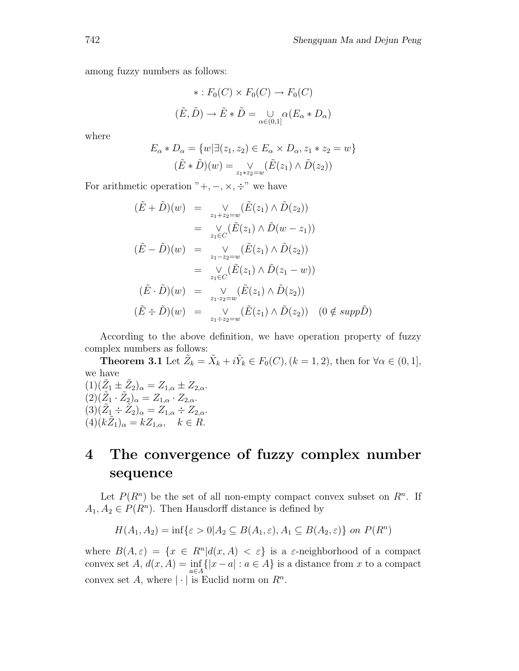among fuzzy numbers as follows:

$$
* : F_0(C) \times F_0(C) \to F_0(C)
$$
  

$$
(\tilde{E}, \tilde{D}) \to \tilde{E} * \tilde{D} = \bigcup_{\alpha \in (0,1]} \alpha (E_\alpha * D_\alpha)
$$

where

$$
E_{\alpha} * D_{\alpha} = \{w | \exists (z_1, z_2) \in E_{\alpha} \times D_{\alpha}, z_1 * z_2 = w \}
$$

$$
(\tilde{E} * \tilde{D})(w) = \bigvee_{z_1 * z_2 = w} (\tilde{E}(z_1) \wedge \tilde{D}(z_2))
$$

For arithmetic operation " $+$ ,  $-$ ,  $\times$ ,  $\div$ " we have

$$
(\tilde{E} + \tilde{D})(w) = \vee_{z_1 + z_2 = w} (\tilde{E}(z_1) \wedge \tilde{D}(z_2))
$$
  
\n
$$
= \vee_{z_1 \in C} (\tilde{E}(z_1) \wedge \tilde{D}(w - z_1))
$$
  
\n
$$
(\tilde{E} - \tilde{D})(w) = \vee_{z_1 - z_2 = w} (\tilde{E}(z_1) \wedge \tilde{D}(z_2))
$$
  
\n
$$
= \vee_{z_1 \in C} (\tilde{E}(z_1) \wedge \tilde{D}(z_1 - w))
$$
  
\n
$$
(\tilde{E} \cdot \tilde{D})(w) = \vee_{z_1 \cdot z_2 = w} (\tilde{E}(z_1) \wedge \tilde{D}(z_2))
$$
  
\n
$$
(\tilde{E} \div \tilde{D})(w) = \vee_{z_1 \div z_2 = w} (\tilde{E}(z_1) \wedge \tilde{D}(z_2))
$$
 (0  $\notin supp \tilde{D}$ )

According to the above definition, we have operation property of fuzzy complex numbers as follows:

**Theorem 3.1** Let  $\tilde{Z}_k = \tilde{X}_k + i\tilde{Y}_k \in F_0(C)$ ,  $(k = 1, 2)$ , then for  $\forall \alpha \in (0, 1]$ , we have

 $(1)(\tilde{Z}_1 \pm \tilde{Z}_2)_{\alpha} = Z_{1,\alpha} \pm Z_{2,\alpha}.$  $(2)(\tilde{Z}_1 \cdot \tilde{Z}_2)_{\alpha} = Z_{1,\alpha} \cdot Z_{2,\alpha}.$  $(3)(\tilde{Z}_1 \div \tilde{Z}_2)_{\alpha} = Z_{1,\alpha} \div Z_{2,\alpha}.$  $(4)(k\tilde{Z}_1)_{\alpha} = kZ_{1,\alpha}, \quad k \in R.$ 

# **4 The convergence of fuzzy complex number sequence**

Let  $P(R^n)$  be the set of all non-empty compact convex subset on  $R^n$ . If  $A_1, A_2 \in P(R^n)$ . Then Hausdorff distance is defined by

$$
H(A_1, A_2) = \inf \{ \varepsilon > 0 | A_2 \subseteq B(A_1, \varepsilon), A_1 \subseteq B(A_2, \varepsilon) \}
$$
 on  $P(R^n)$ 

where  $B(A, \varepsilon) = \{x \in R^n | d(x, A) < \varepsilon\}$  is a  $\varepsilon$ -neighborhood of a compact convex set  $A, d(x, A) = \inf_{a \in A} \{|x - a| : a \in A\}$  is a distance from x to a compact convex set A, where  $|\cdot|$  is Euclid norm on  $R^n$ .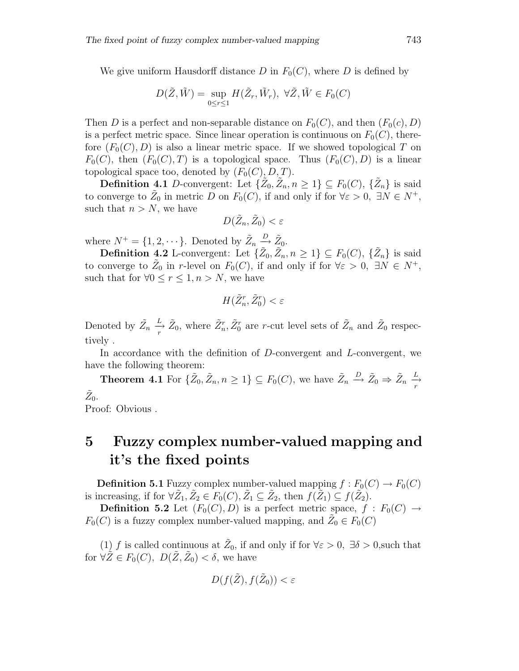We give uniform Hausdorff distance D in  $F_0(C)$ , where D is defined by

$$
D(\tilde{Z}, \tilde{W}) = \sup_{0 \le r \le 1} H(\tilde{Z}_r, \tilde{W}_r), \ \forall \tilde{Z}, \tilde{W} \in F_0(C)
$$

Then D is a perfect and non-separable distance on  $F_0(C)$ , and then  $(F_0(c), D)$ is a perfect metric space. Since linear operation is continuous on  $F_0(C)$ , therefore  $(F_0(C), D)$  is also a linear metric space. If we showed topological T on  $F_0(C)$ , then  $(F_0(C), T)$  is a topological space. Thus  $(F_0(C), D)$  is a linear topological space too, denoted by  $(F_0(C), D, T)$ .

**Definition 4.1** D-convergent: Let  $\{\tilde{Z}_0, \tilde{Z}_n, n \geq 1\} \subseteq F_0(C), \{\tilde{Z}_n\}$  is said to converge to  $\tilde{Z}_0$  in metric D on  $F_0(C)$ , if and only if for  $\forall \varepsilon > 0, \exists N \in N^+$ , such that  $n>N$ , we have

$$
D(\tilde{Z}_n, \tilde{Z}_0) < \varepsilon
$$

where  $N^+ = \{1, 2, \dots\}$ . Denoted by  $\tilde{Z}_n \stackrel{D}{\longrightarrow} \tilde{Z}_0$ .

**Definition 4.2** L-convergent: Let  $\{Z_0, \tilde{Z}_n, n \geq 1\} \subseteq F_0(C)$ ,  $\{\tilde{Z}_n\}$  is said to converge to  $\tilde{Z}_0$  in r-level on  $F_0(C)$ , if and only if for  $\forall \varepsilon > 0$ ,  $\exists N \in N^+$ , such that for  $\forall 0 \leq r \leq 1, n > N$ , we have

$$
H(\tilde{Z}_n^r, \tilde{Z}_0^r) < \varepsilon
$$

Denoted by  $\tilde{Z}_n$  $\frac{L}{r}$   $\tilde{Z}_0$ , where  $\tilde{Z}_n^r$ ,  $\tilde{Z}_0^r$  are r-cut level sets of  $\tilde{Z}_n$  and  $\tilde{Z}_0$  respectively .

In accordance with the definition of D-convergent and L-convergent, we have the following theorem:

**Theorem 4.1** For  $\{\tilde{Z}_0, \tilde{Z}_n, n \geq 1\} \subseteq F_0(C)$ , we have  $\tilde{Z}_n \stackrel{D}{\to} \tilde{Z}_0 \Rightarrow \tilde{Z}_n \stackrel{L}{\to}$  $\tilde{Z}_0$ .

Proof: Obvious .

# **5 Fuzzy complex number-valued mapping and it's the fixed points**

**Definition 5.1** Fuzzy complex number-valued mapping  $f : F_0(C) \to F_0(C)$ is increasing, if for  $\forall \tilde{Z}_1, \tilde{Z}_2 \in F_0(C), \tilde{Z}_1 \subseteq \tilde{Z}_2$ , then  $f(\tilde{Z}_1) \subseteq f(\tilde{Z}_2)$ .

**Definition 5.2** Let  $(F_0(C), D)$  is a perfect metric space,  $f : F_0(C) \rightarrow$  $F_0(C)$  is a fuzzy complex number-valued mapping, and  $Z_0 \in F_0(C)$ 

(1) f is called continuous at  $\tilde{Z}_0$ , if and only if for  $\forall \varepsilon > 0$ ,  $\exists \delta > 0$ , such that for  $\forall \tilde{Z} \in F_0(C), D(\tilde{Z}, \tilde{Z}_0) < \delta$ , we have

$$
D(f(\tilde{Z}), f(\tilde{Z}_0)) < \varepsilon
$$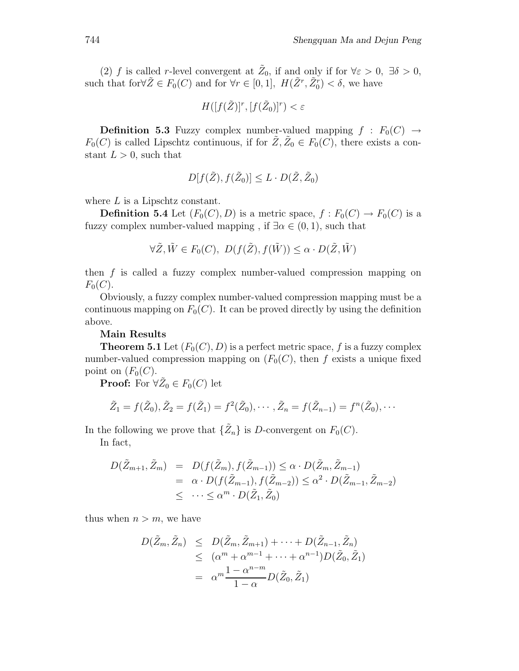(2) f is called r-level convergent at  $\tilde{Z}_0$ , if and only if for  $\forall \varepsilon > 0$ ,  $\exists \delta > 0$ , such that for  $\forall \tilde{Z} \in F_0(C)$  and for  $\forall r \in [0,1], H(\tilde{Z}^r, \tilde{Z}_0^r) < \delta$ , we have

$$
H([f(\tilde{Z})]^r, [f(\tilde{Z}_0)]^r) < \varepsilon
$$

**Definition 5.3** Fuzzy complex number-valued mapping  $f : F_0(C) \rightarrow$  $F_0(C)$  is called Lipschtz continuous, if for  $\tilde{Z}, \tilde{Z}_0 \in F_0(C)$ , there exists a constant  $L > 0$ , such that

$$
D[f(\tilde{Z}), f(\tilde{Z}_0)] \le L \cdot D(\tilde{Z}, \tilde{Z}_0)
$$

where  $L$  is a Lipschtz constant.

**Definition 5.4** Let  $(F_0(C), D)$  is a metric space,  $f : F_0(C) \to F_0(C)$  is a fuzzy complex number-valued mapping, if  $\exists \alpha \in (0,1)$ , such that

$$
\forall \tilde{Z}, \tilde{W} \in F_0(C), \ D(f(\tilde{Z}), f(\tilde{W})) \le \alpha \cdot D(\tilde{Z}, \tilde{W})
$$

then  $f$  is called a fuzzy complex number-valued compression mapping on  $F_0(C)$ .

Obviously, a fuzzy complex number-valued compression mapping must be a continuous mapping on  $F_0(C)$ . It can be proved directly by using the definition above.

#### **Main Results**

**Theorem 5.1** Let  $(F_0(C), D)$  is a perfect metric space, f is a fuzzy complex number-valued compression mapping on  $(F_0(C))$ , then f exists a unique fixed point on  $(F_0(C))$ .

**Proof:** For  $\forall \tilde{Z}_0 \in F_0(C)$  let

$$
\tilde{Z}_1 = f(\tilde{Z}_0), \tilde{Z}_2 = f(\tilde{Z}_1) = f^2(\tilde{Z}_0), \cdots, \tilde{Z}_n = f(\tilde{Z}_{n-1}) = f^n(\tilde{Z}_0), \cdots
$$

In the following we prove that  $\{\tilde{Z}_n\}$  is D-convergent on  $F_0(C)$ .

In fact,

$$
D(\tilde{Z}_{m+1}, \tilde{Z}_m) = D(f(\tilde{Z}_m), f(\tilde{Z}_{m-1})) \leq \alpha \cdot D(\tilde{Z}_m, \tilde{Z}_{m-1})
$$
  
=  $\alpha \cdot D(f(\tilde{Z}_{m-1}), f(\tilde{Z}_{m-2})) \leq \alpha^2 \cdot D(\tilde{Z}_{m-1}, \tilde{Z}_{m-2})$   
 $\leq \cdots \leq \alpha^m \cdot D(\tilde{Z}_1, \tilde{Z}_0)$ 

thus when  $n>m$ , we have

$$
D(\tilde{Z}_m, \tilde{Z}_n) \leq D(\tilde{Z}_m, \tilde{Z}_{m+1}) + \dots + D(\tilde{Z}_{n-1}, \tilde{Z}_n)
$$
  
\n
$$
\leq (\alpha^m + \alpha^{m-1} + \dots + \alpha^{n-1})D(\tilde{Z}_0, \tilde{Z}_1)
$$
  
\n
$$
= \alpha^m \frac{1 - \alpha^{n-m}}{1 - \alpha}D(\tilde{Z}_0, \tilde{Z}_1)
$$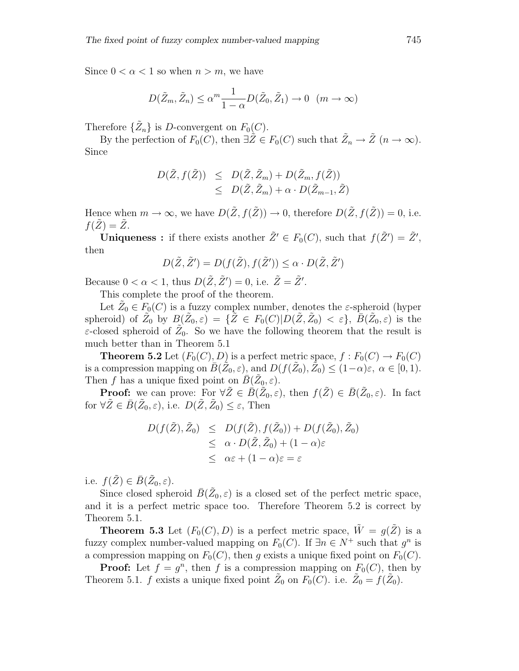Since  $0 < \alpha < 1$  so when  $n > m$ , we have

$$
D(\tilde{Z}_m, \tilde{Z}_n) \le \alpha^m \frac{1}{1-\alpha} D(\tilde{Z}_0, \tilde{Z}_1) \to 0 \quad (m \to \infty)
$$

Therefore  $\{\tilde{Z}_n\}$  is D-convergent on  $F_0(C)$ .

By the perfection of  $F_0(C)$ , then  $\exists \tilde{Z} \in F_0(C)$  such that  $\tilde{Z}_n \to \tilde{Z}$   $(n \to \infty)$ . Since

$$
D(\tilde{Z}, f(\tilde{Z})) \leq D(\tilde{Z}, \tilde{Z}_m) + D(\tilde{Z}_m, f(\tilde{Z}))
$$
  

$$
\leq D(\tilde{Z}, \tilde{Z}_m) + \alpha \cdot D(\tilde{Z}_{m-1}, \tilde{Z})
$$

Hence when  $m \to \infty$ , we have  $D(\tilde{Z}, f(\tilde{Z})) \to 0$ , therefore  $D(\tilde{Z}, f(\tilde{Z})) = 0$ , i.e.  $f(Z) = Z$ .

**Uniqueness :** if there exists another  $\tilde{Z}' \in F_0(C)$ , such that  $f(\tilde{Z}') = \tilde{Z}'$ , then

$$
D(\tilde{Z}, \tilde{Z}') = D(f(\tilde{Z}), f(\tilde{Z}')) \leq \alpha \cdot D(\tilde{Z}, \tilde{Z}')
$$

Because  $0 < \alpha < 1$ , thus  $D(\tilde{Z}, \tilde{Z}') = 0$ , i.e.  $\tilde{Z} = \tilde{Z}'$ .

This complete the proof of the theorem.

Let  $Z_0 \in F_0(C)$  is a fuzzy complex number, denotes the  $\varepsilon$ -spheroid (hyper spheroid) of  $\tilde{Z}_0$  by  $B(\tilde{Z}_0, \varepsilon) = {\{\tilde{Z} \in F_0(C)|D(\tilde{Z}, \tilde{Z}_0) < \varepsilon\}}, \bar{B}(\tilde{Z}_0, \varepsilon)$  is the  $\varepsilon$ -closed spheroid of  $\tilde{Z}_0$ . So we have the following theorem that the result is much better than in Theorem 5.1

**Theorem 5.2** Let  $(F_0(C), D)$  is a perfect metric space,  $f : F_0(C) \to F_0(C)$ is a compression mapping on  $\bar{B}(\tilde{Z}_0, \varepsilon)$ , and  $D(f(\tilde{Z}_0), \tilde{Z}_0) \leq (1-\alpha)\varepsilon$ ,  $\alpha \in [0, 1)$ . Then f has a unique fixed point on  $\bar{B}(\tilde{Z}_0, \varepsilon)$ .

**Proof:** we can prove: For  $\forall \tilde{Z} \in \overline{B}(\tilde{Z}_0, \varepsilon)$ , then  $f(\tilde{Z}) \in \overline{B}(\tilde{Z}_0, \varepsilon)$ . In fact for  $\forall \tilde{Z} \in \bar{B}(\tilde{Z}_0, \varepsilon)$ , i.e.  $D(\tilde{Z}, \tilde{Z}_0) \leq \varepsilon$ , Then

$$
D(f(\tilde{Z}), \tilde{Z}_0) \leq D(f(\tilde{Z}), f(\tilde{Z}_0)) + D(f(\tilde{Z}_0), \tilde{Z}_0)
$$
  
\n
$$
\leq \alpha \cdot D(\tilde{Z}, \tilde{Z}_0) + (1 - \alpha)\varepsilon
$$
  
\n
$$
\leq \alpha\varepsilon + (1 - \alpha)\varepsilon = \varepsilon
$$

i.e.  $f(\tilde{Z}) \in \bar{B}(\tilde{Z}_0, \varepsilon)$ .

Since closed spheroid  $\bar{B}(\tilde{Z}_0, \varepsilon)$  is a closed set of the perfect metric space, and it is a perfect metric space too. Therefore Theorem 5.2 is correct by Theorem 5.1.

**Theorem 5.3** Let  $(F_0(C), D)$  is a perfect metric space,  $\tilde{W} = g(\tilde{Z})$  is a fuzzy complex number-valued mapping on  $F_0(C)$ . If  $\exists n \in N^+$  such that  $g^n$  is a compression mapping on  $F_0(C)$ , then g exists a unique fixed point on  $F_0(C)$ .

**Proof:** Let  $f = g^n$ , then f is a compression mapping on  $F_0(C)$ , then by Theorem 5.1. f exists a unique fixed point  $Z_0$  on  $F_0(C)$ . i.e.  $Z_0 = f(Z_0)$ .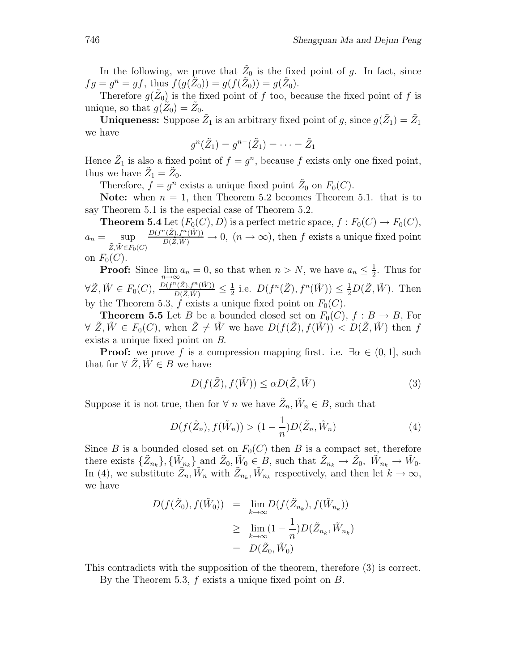In the following, we prove that  $\tilde{Z}_0$  is the fixed point of g. In fact, since  $fg = g^n = gf$ , thus  $f(g(\bar{Z}_0)) = g(f(\bar{Z}_0)) = g(\bar{Z}_0)$ .

Therefore  $g(\tilde{Z}_0)$  is the fixed point of f too, because the fixed point of f is unique, so that  $g(Z_0) = Z_0$ .

**Uniqueness:** Suppose  $\tilde{Z}_1$  is an arbitrary fixed point of g, since  $g(\tilde{Z}_1) = \tilde{Z}_1$ we have

$$
g^n(\tilde{Z}_1)=g^{n-}(\tilde{Z}_1)=\cdots=\tilde{Z}_1
$$

Hence  $Z_1$  is also a fixed point of  $f = g^n$ , because f exists only one fixed point, thus we have  $Z_1 = Z_0$ .

Therefore,  $f = g^n$  exists a unique fixed point  $\tilde{Z}_0$  on  $F_0(C)$ .

**Note:** when  $n = 1$ , then Theorem 5.2 becomes Theorem 5.1. that is to say Theorem 5.1 is the especial case of Theorem 5.2.

**Theorem 5.4** Let  $(F_0(C), D)$  is a perfect metric space,  $f : F_0(C) \to F_0(C)$ ,  $a_n = \sup$  $\tilde{Z}, \tilde{W} \in F_0(C)$  $\frac{D(f^n(\tilde{Z}),f^n(\tilde{W}))}{D(\tilde{Z},\tilde{W})}\to 0$ ,  $(n\to\infty)$ , then f exists a unique fixed point on  $F_0(C)$ .

**Proof:** Since 
$$
\lim_{n\to\infty} a_n = 0
$$
, so that when  $n > N$ , we have  $a_n \leq \frac{1}{2}$ . Thus for  $\forall \tilde{Z}, \tilde{W} \in F_0(C)$ ,  $\frac{D(f^n(\tilde{Z}), f^n(\tilde{W}))}{D(\tilde{Z}, \tilde{W})} \leq \frac{1}{2}$  i.e.  $D(f^n(\tilde{Z}), f^n(\tilde{W})) \leq \frac{1}{2}D(\tilde{Z}, \tilde{W})$ . Then by the Theorem 5.3,  $f$  exists a unique fixed point on  $F_0(C)$ .

**Theorem 5.5** Let B be a bounded closed set on  $F_0(C)$ ,  $f : B \to B$ , For  $\forall \ \tilde{Z}, \tilde{W} \in F_0(C)$ , when  $\tilde{Z} \neq \tilde{W}$  we have  $D(f(\tilde{Z}), f(\tilde{W})) \langle D(\tilde{Z}, \tilde{W}) \rangle$  then f exists a unique fixed point on *B*.

**Proof:** we prove f is a compression mapping first. i.e.  $\exists \alpha \in (0,1]$ , such that for  $\forall \tilde{Z}, \tilde{W} \in B$  we have

$$
D(f(\tilde{Z}), f(\tilde{W})) \le \alpha D(\tilde{Z}, \tilde{W})
$$
\n(3)

Suppose it is not true, then for  $\forall n$  we have  $\tilde{Z}_n, \tilde{W}_n \in B$ , such that

$$
D(f(\tilde{Z}_n), f(\tilde{W}_n)) > (1 - \frac{1}{n})D(\tilde{Z}_n, \tilde{W}_n) \tag{4}
$$

Since B is a bounded closed set on  $F_0(C)$  then B is a compact set, therefore there exists  $\{\bar{Z}_{n_k}\}, \{\bar{W}_{n_k}\}\$  and  $\bar{Z}_0, \bar{W}_0 \in B$ , such that  $\bar{Z}_{n_k} \to \bar{Z}_0$ ,  $\bar{W}_{n_k} \to \bar{W}_0$ . In (4), we substitute  $\tilde{Z}_n, \tilde{W}_n$  with  $\tilde{Z}_{n_k}, \tilde{W}_{n_k}$  respectively, and then let  $k \to \infty$ , we have

$$
D(f(\tilde{Z}_0), f(\tilde{W}_0)) = \lim_{k \to \infty} D(f(\tilde{Z}_{n_k}), f(\tilde{W}_{n_k}))
$$
  
\n
$$
\geq \lim_{k \to \infty} (1 - \frac{1}{n}) D(\tilde{Z}_{n_k}, \tilde{W}_{n_k})
$$
  
\n
$$
= D(\tilde{Z}_0, \tilde{W}_0)
$$

This contradicts with the supposition of the theorem, therefore (3) is correct.

By the Theorem 5.3,  $f$  exists a unique fixed point on  $B$ .